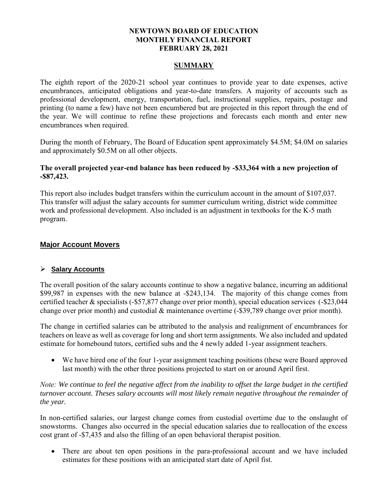#### **NEWTOWN BOARD OF EDUCATION MONTHLY FINANCIAL REPORT FEBRUARY 28, 2021**

#### **SUMMARY**

The eighth report of the 2020-21 school year continues to provide year to date expenses, active encumbrances, anticipated obligations and year-to-date transfers. A majority of accounts such as professional development, energy, transportation, fuel, instructional supplies, repairs, postage and printing (to name a few) have not been encumbered but are projected in this report through the end of the year. We will continue to refine these projections and forecasts each month and enter new encumbrances when required.

During the month of February, The Board of Education spent approximately \$4.5M; \$4.0M on salaries and approximately \$0.5M on all other objects.

#### **The overall projected year-end balance has been reduced by -\$33,364 with a new projection of -\$87,423.**

This report also includes budget transfers within the curriculum account in the amount of \$107,037. This transfer will adjust the salary accounts for summer curriculum writing, district wide committee work and professional development. Also included is an adjustment in textbooks for the K-5 math program.

# **Major Account Movers**

#### **Salary Accounts**

The overall position of the salary accounts continue to show a negative balance, incurring an additional \$99,987 in expenses with the new balance at -\$243,134. The majority of this change comes from certified teacher & specialists (-\$57,877 change over prior month), special education services (-\$23,044 change over prior month) and custodial & maintenance overtime (-\$39,789 change over prior month).

The change in certified salaries can be attributed to the analysis and realignment of encumbrances for teachers on leave as well as coverage for long and short term assignments. We also included and updated estimate for homebound tutors, certified subs and the 4 newly added 1-year assignment teachers.

 We have hired one of the four 1-year assignment teaching positions (these were Board approved last month) with the other three positions projected to start on or around April first.

*Note: We continue to feel the negative affect from the inability to offset the large budget in the certified turnover account. Theses salary accounts will most likely remain negative throughout the remainder of the year.* 

In non-certified salaries, our largest change comes from custodial overtime due to the onslaught of snowstorms. Changes also occurred in the special education salaries due to reallocation of the excess cost grant of -\$7,435 and also the filling of an open behavioral therapist position.

• There are about ten open positions in the para-professional account and we have included estimates for these positions with an anticipated start date of April fist.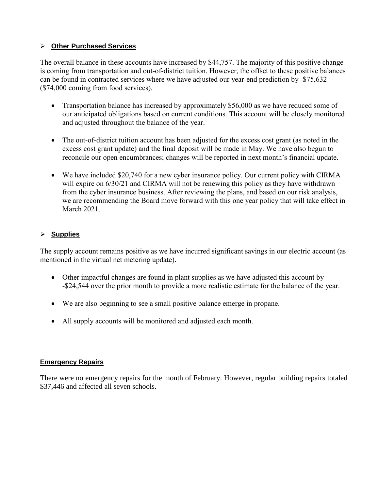#### **Other Purchased Services**

The overall balance in these accounts have increased by \$44,757. The majority of this positive change is coming from transportation and out-of-district tuition. However, the offset to these positive balances can be found in contracted services where we have adjusted our year-end prediction by -\$75,632 (\$74,000 coming from food services).

- Transportation balance has increased by approximately \$56,000 as we have reduced some of our anticipated obligations based on current conditions. This account will be closely monitored and adjusted throughout the balance of the year.
- The out-of-district tuition account has been adjusted for the excess cost grant (as noted in the excess cost grant update) and the final deposit will be made in May. We have also begun to reconcile our open encumbrances; changes will be reported in next month's financial update.
- We have included \$20,740 for a new cyber insurance policy. Our current policy with CIRMA will expire on  $6/30/21$  and CIRMA will not be renewing this policy as they have withdrawn from the cyber insurance business. After reviewing the plans, and based on our risk analysis, we are recommending the Board move forward with this one year policy that will take effect in March 2021.

# **Supplies**

The supply account remains positive as we have incurred significant savings in our electric account (as mentioned in the virtual net metering update).

- Other impactful changes are found in plant supplies as we have adjusted this account by -\$24,544 over the prior month to provide a more realistic estimate for the balance of the year.
- We are also beginning to see a small positive balance emerge in propane.
- All supply accounts will be monitored and adjusted each month.

# **Emergency Repairs**

There were no emergency repairs for the month of February. However, regular building repairs totaled \$37,446 and affected all seven schools.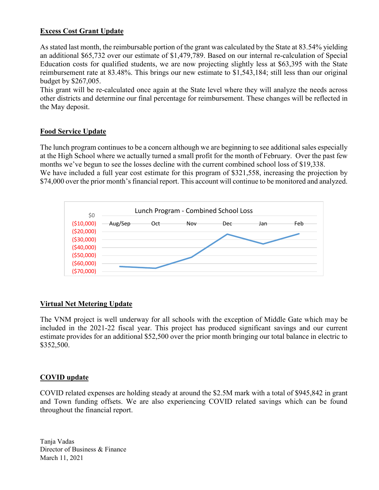# **Excess Cost Grant Update**

As stated last month, the reimbursable portion of the grant was calculated by the State at 83.54% yielding an additional \$65,732 over our estimate of \$1,479,789. Based on our internal re-calculation of Special Education costs for qualified students, we are now projecting slightly less at \$63,395 with the State reimbursement rate at 83.48%. This brings our new estimate to \$1,543,184; still less than our original budget by \$267,005.

This grant will be re-calculated once again at the State level where they will analyze the needs across other districts and determine our final percentage for reimbursement. These changes will be reflected in the May deposit.

# **Food Service Update**

The lunch program continues to be a concern although we are beginning to see additional sales especially at the High School where we actually turned a small profit for the month of February. Over the past few months we've begun to see the losses decline with the current combined school loss of \$19,338. We have included a full year cost estimate for this program of \$321,558, increasing the projection by

\$74,000 over the prior month's financial report. This account will continue to be monitored and analyzed.



# **Virtual Net Metering Update**

The VNM project is well underway for all schools with the exception of Middle Gate which may be included in the 2021-22 fiscal year. This project has produced significant savings and our current estimate provides for an additional \$52,500 over the prior month bringing our total balance in electric to \$352,500.

# **COVID update**

COVID related expenses are holding steady at around the \$2.5M mark with a total of \$945,842 in grant and Town funding offsets. We are also experiencing COVID related savings which can be found throughout the financial report.

Tanja Vadas Director of Business & Finance March 11, 2021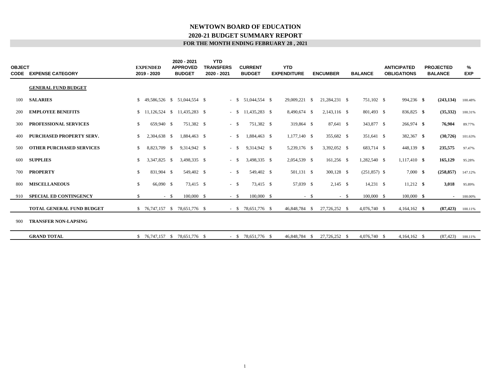#### **FOR THE MONTH ENDING FEBRUARY 28 , 2021 2020-21 BUDGET SUMMARY REPORT NEWTOWN BOARD OF EDUCATION**

| <b>OBJECT</b> | <b>CODE EXPENSE CATEGORY</b>     |              | <b>EXPENDED</b><br>2019 - 2020 | 2020 - 2021<br><b>APPROVED</b><br><b>BUDGET</b> | <b>YTD</b><br><b>TRANSFERS</b><br>2020 - 2021 |        | <b>CURRENT</b><br><b>BUDGET</b> | <b>YTD</b><br><b>EXPENDITURE</b> |          | <b>ENCUMBER</b> | <b>BALANCE</b> | <b>ANTICIPATED</b><br><b>OBLIGATIONS</b> | <b>PROJECTED</b><br><b>BALANCE</b> | %<br><b>EXP</b> |
|---------------|----------------------------------|--------------|--------------------------------|-------------------------------------------------|-----------------------------------------------|--------|---------------------------------|----------------------------------|----------|-----------------|----------------|------------------------------------------|------------------------------------|-----------------|
|               | <b>GENERAL FUND BUDGET</b>       |              |                                |                                                 |                                               |        |                                 |                                  |          |                 |                |                                          |                                    |                 |
| 100           | <b>SALARIES</b>                  | \$           |                                | 49,586,526 \$ 51,044,554 \$                     |                                               | $-$ \$ | 51,044,554 \$                   | 29,009,221                       | <b>S</b> | 21,284,231 \$   | 751,102 \$     | 994,236 \$                               | (243, 134)                         | 100.48%         |
| 200           | <b>EMPLOYEE BENEFITS</b>         |              |                                | $$11,126,524 \quad $11,435,283 \quad $$$        |                                               | $-$ \$ | 11,435,283 \$                   | 8,490,674 \$                     |          | 2,143,116 \$    | 801,493 \$     | 836,825 \$                               | (35,332)                           | 100.31%         |
| 300           | PROFESSIONAL SERVICES            | \$           | 659,940 \$                     | 751.382 \$                                      |                                               | $-$ \$ | 751.382 \$                      | 319,864 \$                       |          | 87,641 \$       | 343,877 \$     | $266,974$ \$                             | 76,904                             | 89.77%          |
| 400           | <b>PURCHASED PROPERTY SERV.</b>  | \$           | 2,304,638 \$                   | 1,884,463 \$                                    |                                               | $-$ \$ | 1,884,463 \$                    | $1,177,140$ \$                   |          | 355,682 \$      | 351,641 \$     | 382,367 \$                               | (30, 726)                          | 101.63%         |
| 500           | <b>OTHER PURCHASED SERVICES</b>  | \$           | 8,823,709 \$                   | 9,314,942 \$                                    |                                               | $-$ \$ | 9,314,942 \$                    | 5,239,176 \$                     |          | 3,392,052 \$    | 683,714 \$     | 448,139 \$                               | 235,575                            | 97.47%          |
| 600           | <b>SUPPLIES</b>                  | \$           | 3,347,825 \$                   | 3,498,335 \$                                    |                                               | $-$ \$ | 3,498,335 \$                    | 2,054,539 \$                     |          | 161,256 \$      | 1,282,540 \$   | $1,117,410$ \$                           | 165,129                            | 95.28%          |
| 700           | <b>PROPERTY</b>                  | \$           | 831,904 \$                     | 549,402 \$                                      |                                               | $-$ \$ | 549,402 \$                      | 501,131 \$                       |          | 300,128 \$      | $(251,857)$ \$ | $7,000 \text{ }$ \$                      | (258, 857)                         | 147.12%         |
| 800           | <b>MISCELLANEOUS</b>             | $\mathbb{S}$ | 66,090 \$                      | 73.415 \$                                       |                                               | $-$ \$ | 73,415 \$                       | 57,039 \$                        |          | $2,145$ \$      | $14,231$ \$    | $11,212$ \$                              | 3,018                              | 95.89%          |
| 910           | <b>SPECIAL ED CONTINGENCY</b>    | \$           | $-$ \$                         | 100,000 \$                                      |                                               | $-$ \$ | 100,000 \$                      |                                  | $-$ \$   | $-$ \$          | 100,000 \$     | 100,000 \$                               | $\sim$                             | 100.00%         |
|               | <b>TOTAL GENERAL FUND BUDGET</b> |              |                                | $$76,747,157$ \$ 78,651,776 \$                  |                                               |        | $-$ \$ 78,651,776 \$            | 46,848,784 \$                    |          | 27,726,252 \$   | 4,076,740 \$   | $4,164,162$ \$                           | (87, 423)                          | 100.11%         |
| 900           | <b>TRANSFER NON-LAPSING</b>      |              |                                |                                                 |                                               |        |                                 |                                  |          |                 |                |                                          |                                    |                 |
|               | <b>GRAND TOTAL</b>               |              |                                | $$76,747,157$ \$ 78,651,776 \$                  |                                               |        | $-$ \$ 78,651,776 \$            | 46,848,784                       | - \$     | 27,726,252 \$   | 4,076,740 \$   | $4,164,162$ \$                           | (87, 423)                          | 100.11%         |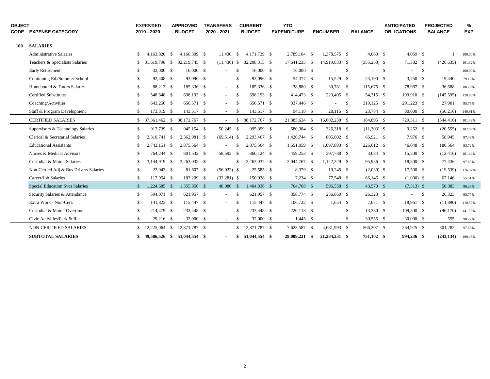| <b>OBJECT</b><br><b>CODE</b> | <b>EXPENSE CATEGORY</b>                |     | <b>EXPENDED</b><br>2019 - 2020 |      | <b>APPROVED</b><br><b>BUDGET</b> | <b>TRANSFERS</b><br>2020 - 2021 |                    | <b>CURRENT</b><br><b>BUDGET</b> | <b>YTD</b><br><b>EXPENDITURE</b> |      | <b>ENCUMBER</b> |      | <b>BALANCE</b>  |              | <b>ANTICIPATED</b><br><b>OBLIGATIONS</b> |            | <b>PROJECTED</b><br><b>BALANCE</b> | %<br><b>EXP</b> |
|------------------------------|----------------------------------------|-----|--------------------------------|------|----------------------------------|---------------------------------|--------------------|---------------------------------|----------------------------------|------|-----------------|------|-----------------|--------------|------------------------------------------|------------|------------------------------------|-----------------|
| <b>100</b>                   | <b>SALARIES</b>                        |     |                                |      |                                  |                                 |                    |                                 |                                  |      |                 |      |                 |              |                                          |            |                                    |                 |
|                              | <b>Administrative Salaries</b>         | \$. | 4,163,820                      | - \$ | 4.160.309 \$                     | 11,430                          | -S                 | 4,171,739 \$                    | 2.789.104 \$                     |      | 1,378,575 \$    |      | $4,060$ \$      |              | $4,059$ \$                               |            |                                    | 100.00%         |
|                              | Teachers & Specialists Salaries        | \$  | 31,619,798                     | - \$ | 32,219,745 \$                    | $(11,430)$ \$                   |                    | 32,208,315 \$                   | 17,641,235 \$                    |      | 14,919,833 \$   |      | $(355, 253)$ \$ |              | 71,382 \$                                |            | (426, 635)                         | 101.32%         |
|                              | Early Retirement                       | \$  | 32,000 \$                      |      | 16,000 S                         | $\sim$                          | $\mathbf{\hat{s}}$ | 16,000 \$                       | 16,000 S                         |      |                 | -\$  |                 | $\mathbf{s}$ |                                          | - \$       | $\sim$                             | 100.00%         |
|                              | Continuing Ed./Summer School           | \$  | 92,408 \$                      |      | 93,096 \$                        | $\sim$                          | -\$                | 93,096 \$                       | 54,377 \$                        |      | 15,529 \$       |      | 23,190 \$       |              | $3,750$ \$                               |            | 19,440                             | 79.12%          |
|                              | Homebound & Tutors Salaries            | \$  | 88,213 \$                      |      | 185,336 \$                       | $\sim$                          | $\mathbf{\hat{s}}$ | 185,336 \$                      | 38,880 \$                        |      | 30,781 \$       |      | 115,675 \$      |              | 78,987 \$                                |            | 36,688                             | 80.20%          |
|                              | <b>Certified Substitutes</b>           | \$. | 548,648 \$                     |      | 698,193 \$                       | $\sim$                          | -S                 | 698,193 \$                      | 414,473 \$                       |      | 229,405 \$      |      | 54,315 \$       |              | 199,910 \$                               |            | (145, 595)                         | 120.85%         |
|                              | Coaching/Activities                    | \$  | 643,256 \$                     |      | 656,571 \$                       |                                 | -S                 | 656,571 \$                      | 337,446 \$                       |      |                 | -\$  | 319,125 \$      |              | 291,223 \$                               |            | 27,901                             | 95.75%          |
|                              | Staff & Program Development            | \$  | 173,319 \$                     |      | 143,517 \$                       | $\sim$                          | <sup>\$</sup>      | 143,517 \$                      | 94,118 \$                        |      | 28,115 \$       |      | 23,784 \$       |              | 80,000 \$                                |            | (56,216)                           | 140.91%         |
|                              | <b>CERTIFIED SALARIES</b>              | \$  | 37,361,462 \$                  |      | 38,172,767 \$                    | $\sim$                          | \$                 | 38,172,767 \$                   | 21,385,634 \$                    |      | 16,602,238 \$   |      | 184,895 \$      |              | 729,311 \$                               |            | (544, 416)                         | 101.43%         |
|                              | Supervisors & Technology Salaries      | \$  | 917,739 \$                     |      | 945,154 \$                       | 50,245 \$                       |                    | 995,399 \$                      | 680,384 \$                       |      | 326,318 \$      |      | $(11,303)$ \$   |              | $9,252$ \$                               |            | (20, 555)                          | 102.06%         |
|                              | Clerical & Secretarial Salaries        | \$  | 2.310.741 \$                   |      | 2,362,981 \$                     | $(69,514)$ \$                   |                    | 2,293,467 \$                    | 1,420,744 \$                     |      | 805,802 \$      |      | 66,921 \$       |              | 7,976 \$                                 |            | 58,945                             | 97.43%          |
|                              | <b>Educational Assistants</b>          | \$. | 2,743,151 \$                   |      | 2,875,564 \$                     |                                 | - \$               | 2,875,564 \$                    | 1,551,059 \$                     |      | 1,097,893 \$    |      | 226,612 \$      |              | 46,048 \$                                |            | 180,564                            | 93.72%          |
|                              | Nurses & Medical Advisors              | \$. | 764,244 \$                     |      | 801,532 \$                       | 58,592 \$                       |                    | 860,124 \$                      | 459,253 \$                       |      | 397,788 \$      |      | $3,084$ \$      |              | 15,500 \$                                |            | (12, 416)                          | 101.44%         |
|                              | Custodial & Maint. Salaries            | \$  | 3,144,919                      | - \$ | 3,263,032 \$                     |                                 | <sup>\$</sup>      | 3,263,032 \$                    | 2,044,767 \$                     |      | 1,122,329 \$    |      | 95,936 \$       |              | 18,500 \$                                |            | 77,436                             | 97.63%          |
|                              | Non-Certied Adj & Bus Drivers Salaries | \$  | $22,043$ \$                    |      | 81,607 \$                        | $(56,022)$ \$                   |                    | 25,585 \$                       | 8,379 \$                         |      | $19,245$ \$     |      | $(2,039)$ \$    |              | 17,500 \$                                |            | (19, 539)                          | 176.37%         |
|                              | Career/Job Salaries                    | \$  | 117,954 \$                     |      | 183,209 \$                       | $(32,281)$ \$                   |                    | 150,928 \$                      | $7,234$ \$                       |      | 77,548 \$       |      | 66,146 \$       |              | $(1,000)$ \$                             |            | 67,146                             | 55.51%          |
|                              | <b>Special Education Svcs Salaries</b> | \$  | 1,224,685 \$                   |      | 1,355,856 \$                     | 48,980                          | - \$               | 1,404,836 \$                    | 764,708 \$                       |      | 596,558 \$      |      | 43,570 \$       |              | $(7,313)$ \$                             |            | 50,883                             | 96.38%          |
|                              | Security Salaries & Attendance         | \$  | 594,071 \$                     |      | 621,957 \$                       | $\sim$                          | -S                 | 621,957 \$                      | 358,774 \$                       |      | 236,860 \$      |      | $26,323$ \$     |              | $\sim$                                   | $^{\circ}$ | 26,323                             | 95.77%          |
|                              | Extra Work - Non-Cert.                 | \$  | 141,823 \$                     |      | 115,447 \$                       | $\sim$                          | - \$               | 115,447 \$                      | 106,722 \$                       |      | $1,654$ \$      |      | 7,071 \$        |              | 18,961 \$                                |            | (11,890)                           | 110.30%         |
|                              | Custodial & Maint. Overtime            | \$  | 214,479 \$                     |      | 233,448 \$                       |                                 | \$                 | 233,448 \$                      | 220,118 \$                       |      |                 | -\$  | 13,330 \$       |              | 109,500 \$                               |            | (96,170)                           | 141.20%         |
|                              | Civic Activities/Park & Rec.           | \$  | 29,216 \$                      |      | $32,000$ \$                      | $\sim$                          | <sup>\$</sup>      | 32,000 \$                       | $1,445$ \$                       |      | $\sim$          | - \$ | 30,555 \$       |              | 30,000 \$                                |            | 555                                | 98.27%          |
|                              | <b>NON-CERTIFIED SALARIES</b>          |     | 12,225,064                     | - \$ | 12,871,787 \$                    | $\sim$                          | <sup>S</sup>       | 12,871,787 \$                   | 7,623,587                        | - \$ | 4,681,993 \$    |      | 566,207 \$      |              | 264,925 \$                               |            | 301,282                            | 97.66%          |
|                              | <b>SUBTOTAL SALARIES</b>               | \$. | 49,586,526 \$                  |      | 51,044,554 \$                    |                                 | S                  | 51,044,554 \$                   | 29,009,221 \$                    |      | 21,284,231 \$   |      | 751,102 \$      |              | 994,236 \$                               |            | (243, 134)                         | 100.48%         |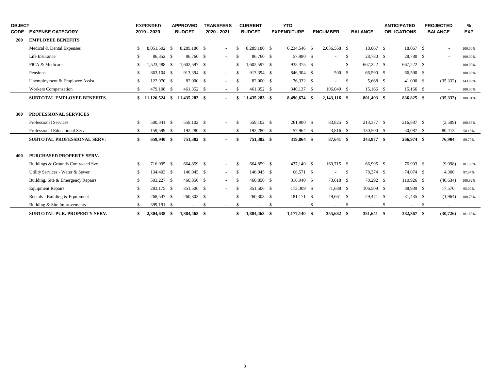| <b>OBJECT</b><br><b>CODE</b> | <b>EXPENSE CATEGORY</b>             |                    | <b>EXPENDED</b><br>2019 - 2020 | <b>APPROVED</b><br><b>BUDGET</b> |     | <b>TRANSFERS</b><br>2020 - 2021 |               | <b>CURRENT</b><br><b>BUDGET</b> |      | <b>YTD</b><br><b>EXPENDITURE</b> |      | <b>ENCUMBER</b>          |          | <b>BALANCE</b> |      | <b>ANTICIPATED</b><br><b>OBLIGATIONS</b> |      | <b>PROJECTED</b><br><b>BALANCE</b> | %<br><b>EXP</b> |
|------------------------------|-------------------------------------|--------------------|--------------------------------|----------------------------------|-----|---------------------------------|---------------|---------------------------------|------|----------------------------------|------|--------------------------|----------|----------------|------|------------------------------------------|------|------------------------------------|-----------------|
| 200                          | <b>EMPLOYEE BENEFITS</b>            |                    |                                |                                  |     |                                 |               |                                 |      |                                  |      |                          |          |                |      |                                          |      |                                    |                 |
|                              | Medical & Dental Expenses           | -S                 | 8,051,502 \$                   | 8,289,180 \$                     |     | $\blacksquare$                  | - \$          | 8,289,180 \$                    |      | 6,234,546 \$                     |      | 2,036,568 \$             |          | 18,067 \$      |      | 18,067 \$                                |      |                                    | 100.00%         |
|                              | Life Insurance                      | -S                 | 86,352 \$                      | 86,760 \$                        |     | $\blacksquare$                  | <sup>\$</sup> | 86,760 \$                       |      | 57,980 \$                        |      | ÷                        | <b>S</b> | 28,780 \$      |      | 28,780 \$                                |      | $\sim$                             | 100.00%         |
|                              | FICA & Medicare                     | -\$                | 1.523.488 \$                   | 1,602,597 \$                     |     | $\sim$                          | -S            | $1.602.597$ \$                  |      | 935,375 \$                       |      | $\sim$                   | - \$     | 667,222 \$     |      | 667,222 \$                               |      | $\sim$                             | 100.00%         |
|                              | Pensions                            | -\$                | 863.104 \$                     | 913,394 \$                       |     | $\sim$                          | - \$          | 913.394 \$                      |      | 846,304 \$                       |      | 500 \$                   |          | 66,590 \$      |      | 66,590 \$                                |      | $\sim$                             | 100.00%         |
|                              | Unemployment & Employee Assist.     | $\mathbf{\hat{S}}$ | 122,970 \$                     | 82,000 \$                        |     | $\blacksquare$                  | -S            | 82,000 \$                       |      | 76,332 \$                        |      | $\overline{\phantom{a}}$ | - \$     | 5.668 \$       |      | 41,000 \$                                |      | (35, 332)                          | 143.09%         |
|                              | <b>Workers</b> Compensation         | <sup>\$</sup>      | 479,108 \$                     | 461,352 \$                       |     | $\overline{\phantom{a}}$        | -S            | 461,352 \$                      |      | 340,137 \$                       |      | 106,049 \$               |          | 15,166 \$      |      | 15,166 \$                                |      | $\sim$                             | 100.00%         |
|                              | <b>SUBTOTAL EMPLOYEE BENEFITS</b>   |                    | $$11,126,524$ \$               | 11,435,283 \$                    |     | $\sim$                          | \$            | 11,435,283 \$                   |      | 8,490,674 \$                     |      | 2,143,116 \$             |          | 801,493 \$     |      | 836,825 \$                               |      | (35, 332)                          | 100.31%         |
|                              |                                     |                    |                                |                                  |     |                                 |               |                                 |      |                                  |      |                          |          |                |      |                                          |      |                                    |                 |
| 300                          | PROFESSIONAL SERVICES               |                    |                                |                                  |     |                                 |               |                                 |      |                                  |      |                          |          |                |      |                                          |      |                                    |                 |
|                              | Professional Services               | <sup>\$</sup>      | 500.341 \$                     | 559,102 \$                       |     | $\blacksquare$                  | - \$          | 559,102 \$                      |      | 261,900 \$                       |      | 83,825 \$                |          | 213,377 \$     |      | 216,887 \$                               |      | (3,509)                            | 100.63%         |
|                              | Professional Educational Serv.      | \$                 | 159,599 \$                     | 192,280 \$                       |     | $\sim$                          | \$            | 192,280 \$                      |      | 57,964 \$                        |      | 3,816 \$                 |          | 130,500 \$     |      | 50,087 \$                                |      | 80,413                             | 58.18%          |
|                              | SUBTOTAL PROFESSIONAL SERV.         | \$                 | 659,940 \$                     | 751,382 \$                       |     | $\sim$                          | -\$           | 751,382 \$                      |      | 319,864 \$                       |      | 87,641 \$                |          | 343,877 \$     |      | 266,974 \$                               |      | 76,904                             | 89.77%          |
|                              |                                     |                    |                                |                                  |     |                                 |               |                                 |      |                                  |      |                          |          |                |      |                                          |      |                                    |                 |
| 400                          | PURCHASED PROPERTY SERV.            |                    |                                |                                  |     |                                 |               |                                 |      |                                  |      |                          |          |                |      |                                          |      |                                    |                 |
|                              | Buildings & Grounds Contracted Svc. | <sup>\$</sup>      | 716,095 \$                     | 664,859 \$                       |     | $\overline{\phantom{a}}$        | -S            | 664,859 \$                      |      | 437,149 \$                       |      | 160,715 \$               |          | 66.995 \$      |      | 76,993 \$                                |      | (9,998)                            | 101.50%         |
|                              | Utility Services - Water & Sewer    | <sup>\$</sup>      | 134,403 \$                     | 146,945 \$                       |     | $\sim$                          | -S            | 146,945 \$                      |      | 68,571 \$                        |      | $\sim$                   | <b>S</b> | 78,374 \$      |      | 74,074 \$                                |      | 4,300                              | 97.07%          |
|                              | Building, Site & Emergency Repairs  | \$                 | 503,227 \$                     | 460,850 \$                       |     | $\sim$                          | -\$           | 460,850 \$                      |      | 316,940 \$                       |      | 73,618 \$                |          | 70,292 \$      |      | 110,926 \$                               |      | (40, 634)                          | 108.82%         |
|                              | <b>Equipment Repairs</b>            | \$                 | 283,175 \$                     | 351,506 \$                       |     | $\blacksquare$                  | -\$           | 351,506 \$                      |      | 173,309 \$                       |      | 71,688 \$                |          | 106,509 \$     |      | 88,939 \$                                |      | 17,570                             | 95.00%          |
|                              | Rentals - Building & Equipment      | <sup>\$</sup>      | 268,547 \$                     | 260,303 \$                       |     |                                 | - \$          | 260,303 \$                      |      | 181,171 \$                       |      | 49,661 \$                |          | 29,471 \$      |      | 31,435 \$                                |      | (1,964)                            | 100.75%         |
|                              | Building & Site Improvements        | <sup>\$</sup>      | 399,191 \$                     | $\overline{\phantom{a}}$         | -\$ | $\sim$                          | -S            | $\overline{\phantom{a}}$        | - \$ | $\overline{\phantom{a}}$         | - \$ | $\sim$                   | - \$     | $\sim$         | - \$ | $\sim$                                   | - \$ |                                    |                 |
|                              | <b>SUBTOTAL PUR. PROPERTY SERV.</b> | \$                 | 2,304,638 \$                   | 1,884,463 \$                     |     | $\sim$                          | - \$          | 1,884,463 \$                    |      | $1,177,140$ \$                   |      | 355,682 \$               |          | 351,641 \$     |      | 382,367 \$                               |      | (30, 726)                          | 101.63%         |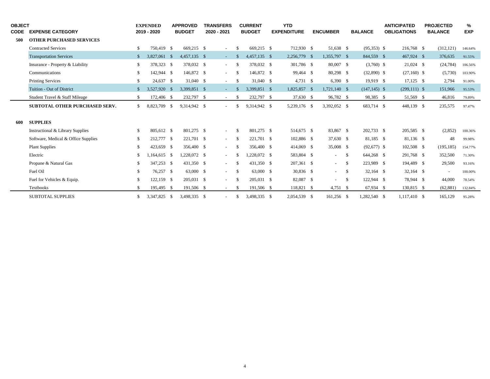| <b>OBJECT</b><br><b>CODE</b> | <b>EXPENSE CATEGORY</b>               |              | <b>EXPENDED</b><br>2019 - 2020 |      | <b>APPROVED</b><br><b>BUDGET</b> | <b>TRANSFERS</b><br>2020 - 2021 |     | <b>CURRENT</b><br><b>BUDGET</b> | <b>YTD</b><br><b>EXPENDITURE</b> | <b>ENCUMBER</b> |      | <b>BALANCE</b>  |      | <b>ANTICIPATED</b><br><b>OBLIGATIONS</b> | <b>PROJECTED</b><br><b>BALANCE</b> | %<br><b>EXP</b> |
|------------------------------|---------------------------------------|--------------|--------------------------------|------|----------------------------------|---------------------------------|-----|---------------------------------|----------------------------------|-----------------|------|-----------------|------|------------------------------------------|------------------------------------|-----------------|
| 500                          | <b>OTHER PURCHASED SERVICES</b>       |              |                                |      |                                  |                                 |     |                                 |                                  |                 |      |                 |      |                                          |                                    |                 |
|                              | <b>Contracted Services</b>            | \$           | 750,419 \$                     |      | 669.215 \$                       | $\sim$                          | \$  | 669.215 \$                      | 712.930 \$                       | 51,638 \$       |      | $(95,353)$ \$   |      | 216,768 \$                               | (312, 121)                         | 146.64%         |
|                              | <b>Transportation Services</b>        | $\mathbb{S}$ | 3.827,061                      | - \$ | 4,457,135 \$                     | $\sim$                          |     | 4,457,135 \$                    | 2,256,779 \$                     | 1,355,797 \$    |      | 844,559 \$      |      | 467,924 \$                               | 376,635                            | 91.55%          |
|                              | Insurance - Property & Liability      | \$           | 378,323 \$                     |      | 378,032 \$                       | $\sim$                          | -S  | 378,032 \$                      | 301,786 \$                       | 80,007 \$       |      | $(3,760)$ \$    |      | $21,024$ \$                              | (24, 784)                          | 106.56%         |
|                              | Communications                        | \$           | 142,944 \$                     |      | 146,872 \$                       | $\sim$                          | -S  | 146,872 \$                      | 99,464 \$                        | 80,298 \$       |      | $(32,890)$ \$   |      | $(27,160)$ \$                            | (5,730)                            | 103.90%         |
|                              | <b>Printing Services</b>              | \$           | 24,637 \$                      |      | $31,040$ \$                      | $\sim$                          | -\$ | 31,040 \$                       | $4,731$ \$                       | $6,390$ \$      |      | 19,919 \$       |      | $17,125$ \$                              | 2,794                              | 91.00%          |
|                              | Tuition - Out of District             | \$           | 3.527.920                      | - \$ | 3,399,851 \$                     | $\sim$                          |     | 3,399,851 \$                    | 1,825,857 \$                     | 1,721,140 \$    |      | $(147, 145)$ \$ |      | $(299,111)$ \$                           | 151,966                            | 95.53%          |
|                              | Student Travel & Staff Mileage        | \$           | 172,406 \$                     |      | 232,797 \$                       | $\sim$                          | -S  | 232,797 \$                      | 37,630 \$                        | 96,782 \$       |      | 98,385 \$       |      | 51,569 \$                                | 46,816                             | 79.89%          |
|                              | <b>SUBTOTAL OTHER PURCHASED SERV.</b> | \$           | 8,823,709                      | - \$ | 9,314,942 \$                     | $\sim$                          | £.  | 9,314,942 \$                    | 5,239,176 \$                     | 3,392,052 \$    |      | 683,714 \$      |      | 448,139 \$                               | 235,575                            | 97.47%          |
|                              |                                       |              |                                |      |                                  |                                 |     |                                 |                                  |                 |      |                 |      |                                          |                                    |                 |
| 600                          | <b>SUPPLIES</b>                       |              |                                |      |                                  |                                 |     |                                 |                                  |                 |      |                 |      |                                          |                                    |                 |
|                              | Instructional & Library Supplies      | \$           | 805.612 \$                     |      | 801,275 \$                       | $\sim$                          | S.  | 801,275 \$                      | 514,675 \$                       | 83,867 \$       |      | 202,733 \$      |      | 205,585 \$                               | (2,852)                            | 100.36%         |
|                              | Software, Medical & Office Supplies   | \$           | 212,777 \$                     |      | 221,701 \$                       | $\sim$                          | S.  | 221.701 \$                      | 102,886 \$                       | 37,630 \$       |      | 81,185 \$       |      | 81,136 \$                                | 48                                 | 99.98%          |
|                              | <b>Plant Supplies</b>                 | \$           | 423,659 \$                     |      | 356,400 \$                       | $\sim$                          | S.  | 356,400 \$                      | 414,069 \$                       | 35,008 \$       |      | $(92,677)$ \$   |      | 102,508 \$                               | (195, 185)                         | 154.77%         |
|                              | Electric                              | \$           | 1.164.615 \$                   |      | 1,228,072 \$                     | $\sim$                          |     | $.228.072$ \$                   | 583,804 \$                       | $\sim$          | -S   | 644,268 \$      |      | 291.768 \$                               | 352,500                            | 71.30%          |
|                              | Propane & Natural Gas                 | \$           | 347,253 \$                     |      | 431,350 \$                       | $\sim$                          | S.  | 431.350 \$                      | 207,361 \$                       | $\sim$          | - \$ | 223,989 \$      |      | 194,489 \$                               | 29,500                             | 93.16%          |
|                              | Fuel Oil                              | \$           | 76,257 \$                      |      | 63,000 \$                        | $\sim$                          | -S  | 63,000 \$                       | 30,836 \$                        | $\sim$          | - \$ | $32,164$ \$     |      | $32,164$ \$                              | $\sim$                             | 100.00%         |
|                              | Fuel for Vehicles & Equip.            | \$           | 122,159 \$                     |      | 205,031 \$                       | $\sim$                          | S.  | 205,031 \$                      | 82,087 \$                        | $\sim$          | - \$ | 122,944 \$      |      | 78,944 \$                                | 44,000                             | 78.54%          |
|                              | <b>Textbooks</b>                      | S            | 195,495 \$                     |      | 191,506 \$                       | $\sim$                          | -S  | 191,506 \$                      | 118,821 \$                       | $4,751$ \$      |      | 67,934 \$       |      | 130,815 \$                               | (62, 881)                          | 132.84%         |
|                              | <b>SUBTOTAL SUPPLIES</b>              | \$           | 3,347,825                      | -S   | 3.498.335 \$                     |                                 | £.  | 3.498.335 \$                    | 2,054,539 \$                     | 161.256 \$      |      | 1.282.540       | - \$ | 1.117.410 \$                             | 165.129                            | 95.28%          |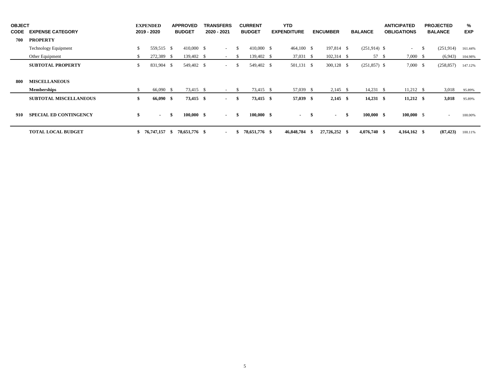| <b>OBJECT</b><br><b>CODE</b> | <b>EXPENSE CATEGORY</b>       |    | <b>EXPENDED</b><br>2019 - 2020 |      | <b>APPROVED</b><br><b>BUDGET</b> | <b>TRANSFERS</b><br>2020 - 2021 |               | <b>CURRENT</b><br><b>BUDGET</b> | <b>YTD</b><br><b>EXPENDITURE</b> |     | <b>ENCUMBER</b> |      | <b>BALANCE</b>    | <b>ANTICIPATED</b><br><b>OBLIGATIONS</b> |      | <b>PROJECTED</b><br><b>BALANCE</b> | %<br><b>EXP</b> |
|------------------------------|-------------------------------|----|--------------------------------|------|----------------------------------|---------------------------------|---------------|---------------------------------|----------------------------------|-----|-----------------|------|-------------------|------------------------------------------|------|------------------------------------|-----------------|
| 700                          | <b>PROPERTY</b>               |    |                                |      |                                  |                                 |               |                                 |                                  |     |                 |      |                   |                                          |      |                                    |                 |
|                              | <b>Technology Equipment</b>   | \$ | 559,515 \$                     |      | 410,000 \$                       | $\sim$ 100 $\mu$                | <sup>\$</sup> | 410,000 \$                      | 464,100 \$                       |     | 197,814 \$      |      | $(251,914)$ \$    | $\sim$                                   | - \$ | (251, 914)                         | 161.44%         |
|                              | Other Equipment               | \$ | 272,389 \$                     |      | 139,402 \$                       | $\sim$                          | -S            | 139,402 \$                      | 37,031 \$                        |     | 102,314 \$      |      | 57 \$             | 7,000 \$                                 |      | (6,943)                            | 104.98%         |
|                              | <b>SUBTOTAL PROPERTY</b>      | \$ | 831,904 \$                     |      | 549,402 \$                       | $\sim$                          | - \$          | 549,402 \$                      | 501,131 \$                       |     | 300,128 \$      |      | $(251,857)$ \$    | 7,000 \$                                 |      | (258, 857)                         | 147.12%         |
|                              |                               |    |                                |      |                                  |                                 |               |                                 |                                  |     |                 |      |                   |                                          |      |                                    |                 |
| 800                          | <b>MISCELLANEOUS</b>          |    |                                |      |                                  |                                 |               |                                 |                                  |     |                 |      |                   |                                          |      |                                    |                 |
|                              | <b>Memberships</b>            | S. | 66,090 \$                      |      | 73,415 \$                        | $\sim$                          | -S            | 73,415 \$                       | 57,039 \$                        |     | $2,145$ \$      |      | $14,231 \quad$ \$ | $11,212$ \$                              |      | 3,018                              | 95.89%          |
|                              | <b>SUBTOTAL MISCELLANEOUS</b> | \$ | 66,090 \$                      |      | 73,415 \$                        | $\sim$                          | - \$          | 73,415 \$                       | $57,039$ \$                      |     | $2,145$ \$      |      | $14,231$ \$       | $11,212$ \$                              |      | 3,018                              | 95.89%          |
| 910                          | <b>SPECIAL ED CONTINGENCY</b> | \$ | $\sim$                         | -\$  | $100,000$ \$                     | $\sim$                          | - \$          | $100,000$ \$                    | $\sim$                           | -\$ | $\sim$          | - \$ | $100,000$ \$      | 100,000 S                                |      | $\sim$                             | 100.00%         |
|                              | <b>TOTAL LOCAL BUDGET</b>     |    | 76,747,157                     | - \$ | 78,651,776 \$                    | $\sim$                          | -\$           | 78,651,776 \$                   | 46,848,784                       |     | 27,726,252 \$   |      | $4,076,740$ \$    | $4,164,162$ \$                           |      | (87, 423)                          | 100.11%         |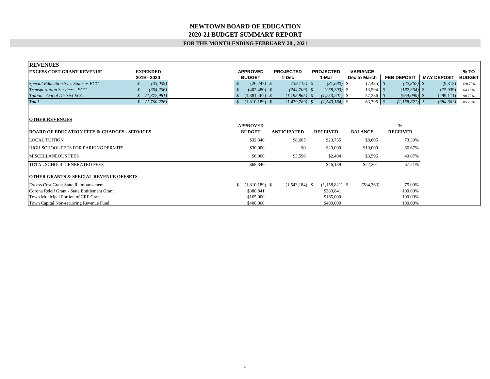#### **NEWTOWN BOARD OF EDUCATION 2020-21 BUDGET SUMMARY REPORT**

#### **FOR THE MONTH ENDING FEBRUARY 28 , 2021**

| <b>REVENUES</b>                                         |                  |                              |                    |                    |                 |                    |                    |
|---------------------------------------------------------|------------------|------------------------------|--------------------|--------------------|-----------------|--------------------|--------------------|
| <b>EXCESS COST GRANT REVENUE</b>                        | <b>EXPENDED</b>  | <b>APPROVED</b>              | <b>PROJECTED</b>   | <b>PROJECTED</b>   | <b>VARIANCE</b> |                    |                    |
|                                                         | 2019 - 2020      | <b>BUDGET</b>                | 1-Dec              | 1-Mar              | Dec to March    | <b>FEB DEPOSIT</b> | <b>MAY DEPOSIT</b> |
| <b>Special Education Svcs Salaries ECG</b>              | (33,039)         | $(26,247)$ \$<br>-S          | $(39,115)$ \$      | $(31,680)$ \$      | $(7,435)$ \$    | $(22,367)$ \$      | (9,313)            |
| <b>Transportation Services - ECG</b>                    | (354, 206)       | $(402, 480)$ \$              | $(244,709)$ \$     | $(258, 303)$ \$    | $13,594$ \$     | $(182, 364)$ \$    | (75, 939)          |
| Tuition - Out of District ECG                           | (1, 372, 981)    | $(1,381,462)$ \$             | $(1,195,965)$ \$   | $(1,253,201)$ \$   |                 | $(954,090)$ \$     | (299, 111)         |
| Total                                                   | (1,760,226)<br>S | $(1,810,189)$ \$<br><b>S</b> | $(1, 479, 789)$ \$ | $(1, 543, 184)$ \$ | $63,395$ \$     | $(1,158,821)$ \$   | (384, 363)         |
| <b>OTHER REVENUES</b>                                   |                  |                              |                    |                    |                 |                    |                    |
|                                                         |                  | <b>APPROVED</b>              |                    |                    |                 | $\frac{0}{0}$      |                    |
| <b>BOARD OF EDUCATION FEES &amp; CHARGES - SERVICES</b> |                  | <b>BUDGET</b>                | <b>ANTICIPATED</b> | <b>RECEIVED</b>    | <b>BALANCE</b>  | <b>RECEIVED</b>    |                    |
| <b>LOCAL TUITION</b>                                    |                  | \$32,340                     | \$8,605            | \$23,735           | \$8,605         | 73.39%             |                    |
| HIGH SCHOOL FEES FOR PARKING PERMITS                    |                  | \$30,000                     | \$0                | \$20,000           | \$10,000        | 66.67%             |                    |
| MISCELLANEOUS FEES                                      |                  | \$6,000                      | \$3,596            | \$2,404            | \$3,596         | 40.07%             |                    |
| TOTAL SCHOOL GENERATED FEES                             |                  | \$68,340                     |                    | \$46,139           | \$22,201        | 67.51%             |                    |
| <b>OTHER GRANTS &amp; SPECIAL REVENUE OFFSETS</b>       |                  |                              |                    |                    |                 |                    |                    |
| <b>Excess Cost Grant State Reimbursement</b>            |                  | $(1,810,189)$ \$<br>S.       | $(1,543,184)$ \$   | $(1,158,821)$ \$   | (384, 363)      | 75.09%             |                    |
| Corona Releif Grant - State Entitlement Grant           |                  | \$380,841                    |                    | \$380,841          |                 | 100.00%            |                    |
| Town Municipal Portion of CRF Grant                     |                  | \$165,000                    |                    | \$165,000          |                 | 100.00%            |                    |
| Town Capital Non-recurring Revenue Fund                 |                  | \$400,000                    |                    | \$400,000          |                 | 100.00%            |                    |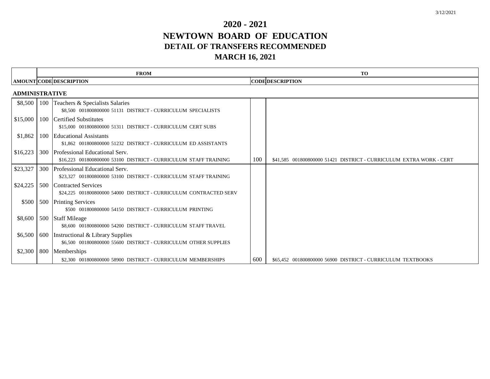# **2020 - 2021 NEWTOWN BOARD OF EDUCATION DETAIL OF TRANSFERS RECOMMENDED MARCH 16, 2021**

|                       |     | <b>FROM</b>                                                                                             |     | <b>TO</b>                                                           |
|-----------------------|-----|---------------------------------------------------------------------------------------------------------|-----|---------------------------------------------------------------------|
|                       |     | <b>AMOUNT CODE DESCRIPTION</b>                                                                          |     | <b>CODE DESCRIPTION</b>                                             |
| <b>ADMINISTRATIVE</b> |     |                                                                                                         |     |                                                                     |
| \$8,500               | 100 | Teachers & Specialists Salaries<br>\$8,500 001800800000 51131 DISTRICT - CURRICULUM SPECIALISTS         |     |                                                                     |
| \$15,000              |     | 100 Certified Substitutes<br>\$15,000 001800800000 51311 DISTRICT - CURRICULUM CERT SUBS                |     |                                                                     |
| \$1,862               | 100 | <b>Educational Assistants</b><br>\$1,862 001800800000 51232 DISTRICT - CURRICULUM ED ASSISTANTS         |     |                                                                     |
| \$16,223              |     | 300 Professional Educational Serv.<br>\$16,223 001800800000 53100 DISTRICT - CURRICULUM STAFF TRAINING  | 100 | \$41,585 001800800000 51421 DISTRICT - CURRICULUM EXTRA WORK - CERT |
| \$23,327              | 300 | Professional Educational Serv.<br>\$23,327 001800800000 53100 DISTRICT - CURRICULUM STAFF TRAINING      |     |                                                                     |
| \$24,225              | 500 | <b>Contracted Services</b><br>\$24,225 001800800000 54000 DISTRICT - CURRICULUM CONTRACTED SERV         |     |                                                                     |
| \$500                 | 500 | <b>Printing Services</b><br>\$500 001800800000 54150 DISTRICT - CURRICULUM PRINTING                     |     |                                                                     |
| \$8,600               |     | 500 Staff Mileage<br>\$8,600 001800800000 54200 DISTRICT - CURRICULUM STAFF TRAVEL                      |     |                                                                     |
| \$6,500               |     | 600 Instructional & Library Supplies<br>\$6,500 001800800000 55600 DISTRICT - CURRICULUM OTHER SUPPLIES |     |                                                                     |
| \$2,300               | 800 | Memberships                                                                                             |     |                                                                     |
|                       |     | \$2,300 001800800000 58900 DISTRICT - CURRICULUM MEMBERSHIPS                                            | 600 | \$65,452 001800800000 56900 DISTRICT - CURRICULUM TEXTBOOKS         |